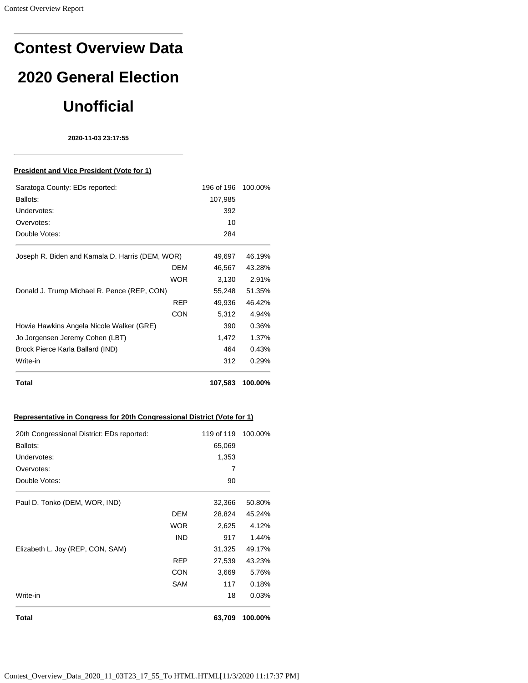# **Contest Overview Data 2020 General Election Unofficial**

**2020-11-03 23:17:55**

#### **President and Vice President (Vote for 1)**

| Saratoga County: EDs reported:                  | 196 of 196 | 100.00% |
|-------------------------------------------------|------------|---------|
| Ballots:                                        | 107,985    |         |
| Undervotes:                                     | 392        |         |
| Overvotes:                                      | 10         |         |
| Double Votes:                                   | 284        |         |
| Joseph R. Biden and Kamala D. Harris (DEM, WOR) | 49,697     | 46.19%  |
| DEM                                             | 46,567     | 43.28%  |
| WOR                                             | 3,130      | 2.91%   |
| Donald J. Trump Michael R. Pence (REP, CON)     | 55,248     | 51.35%  |
| <b>REP</b>                                      | 49,936     | 46.42%  |
| <b>CON</b>                                      | 5,312      | 4.94%   |
| Howie Hawkins Angela Nicole Walker (GRE)        | 390        | 0.36%   |
| Jo Jorgensen Jeremy Cohen (LBT)                 | 1,472      | 1.37%   |
| Brock Pierce Karla Ballard (IND)                | 464        | 0.43%   |
| Write-in                                        | 312        | 0.29%   |
| Total                                           | 107,583    | 100.00% |

# **Representative in Congress for 20th Congressional District (Vote for 1)**

| 20th Congressional District: EDs reported: |            | 119 of 119 | 100.00% |
|--------------------------------------------|------------|------------|---------|
| Ballots:                                   |            | 65,069     |         |
| Undervotes:                                |            | 1,353      |         |
| Overvotes:                                 |            | 7          |         |
| Double Votes:                              |            | 90         |         |
| Paul D. Tonko (DEM, WOR, IND)              |            | 32,366     | 50.80%  |
|                                            | DEM        | 28,824     | 45.24%  |
|                                            | <b>WOR</b> | 2,625      | 4.12%   |
|                                            | <b>IND</b> | 917        | 1.44%   |
| Elizabeth L. Joy (REP, CON, SAM)           |            | 31,325     | 49.17%  |
|                                            | <b>REP</b> | 27,539     | 43.23%  |
|                                            | <b>CON</b> | 3,669      | 5.76%   |
|                                            | SAM        | 117        | 0.18%   |
| Write-in                                   |            | 18         | 0.03%   |
| Total                                      |            | 63,709     | 100.00% |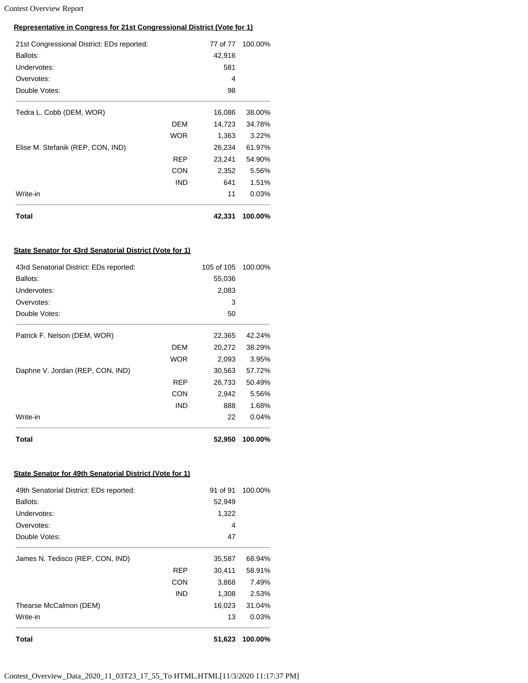# **Representative in Congress for 21st Congressional District (Vote for 1)**

| 21st Congressional District: EDs reported: |            | 77 of 77 | 100.00% |
|--------------------------------------------|------------|----------|---------|
| Ballots:                                   |            | 42,916   |         |
| Undervotes:                                |            | 581      |         |
| Overvotes:                                 |            | 4        |         |
| Double Votes:                              |            | 98       |         |
| Tedra L. Cobb (DEM, WOR)                   |            | 16,086   | 38.00%  |
|                                            | DEM        | 14,723   | 34.78%  |
|                                            | <b>WOR</b> | 1,363    | 3.22%   |
| Elise M. Stefanik (REP, CON, IND)          |            | 26,234   | 61.97%  |
|                                            | REP        | 23,241   | 54.90%  |
|                                            | <b>CON</b> | 2,352    | 5.56%   |
|                                            | <b>IND</b> | 641      | 1.51%   |
| Write-in                                   |            | 11       | 0.03%   |
| Total                                      |            | 42,331   | 100.00% |

#### **State Senator for 43rd Senatorial District (Vote for 1)**

| 43rd Senatorial District: EDs reported: |            | 105 of 105 | 100.00% |
|-----------------------------------------|------------|------------|---------|
| Ballots:                                |            | 55,036     |         |
| Undervotes:                             |            | 2,083      |         |
| Overvotes:                              |            | 3          |         |
| Double Votes:                           |            | 50         |         |
| Patrick F. Nelson (DEM, WOR)            |            | 22,365     | 42.24%  |
|                                         | DEM        | 20,272     | 38.29%  |
|                                         | WOR        | 2,093      | 3.95%   |
| Daphne V. Jordan (REP, CON, IND)        |            | 30,563     | 57.72%  |
|                                         | REP        | 26,733     | 50.49%  |
|                                         | CON        | 2,942      | 5.56%   |
|                                         | <b>IND</b> | 888        | 1.68%   |
| Write-in                                |            | 22         | 0.04%   |
| Total                                   |            | 52,950     | 100.00% |

#### **State Senator for 49th Senatorial District (Vote for 1)**

| Total                                   |            | 51,623   | 100.00% |
|-----------------------------------------|------------|----------|---------|
| Write-in                                |            | 13       | 0.03%   |
| Thearse McCalmon (DEM)                  |            | 16,023   | 31.04%  |
|                                         | <b>IND</b> | 1,308    | 2.53%   |
|                                         | <b>CON</b> | 3,868    | 7.49%   |
|                                         | REP        | 30,411   | 58.91%  |
| James N. Tedisco (REP, CON, IND)        |            | 35,587   | 68.94%  |
| Double Votes:                           |            | 47       |         |
| Overvotes:                              |            | 4        |         |
| Undervotes:                             |            | 1,322    |         |
| Ballots:                                |            | 52,949   |         |
| 49th Senatorial District: EDs reported: |            | 91 of 91 | 100.00% |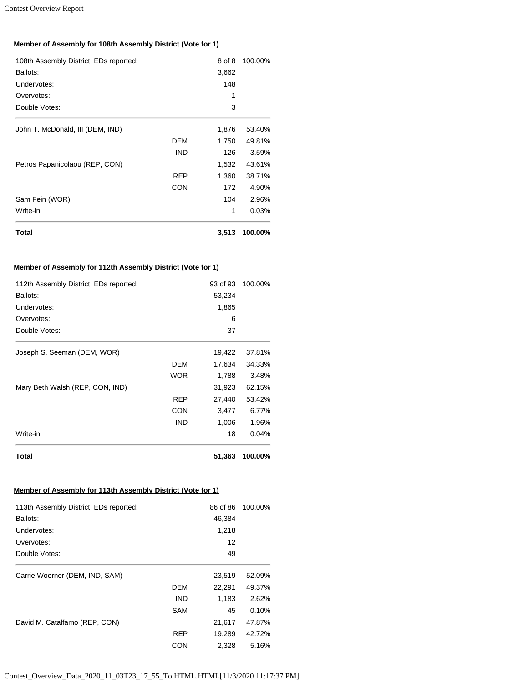# **Member of Assembly for 108th Assembly District (Vote for 1)**

| Total                                  |            | 3,513  | 100.00% |
|----------------------------------------|------------|--------|---------|
| Write-in                               |            | 1      | 0.03%   |
| Sam Fein (WOR)                         |            | 104    | 2.96%   |
|                                        | <b>CON</b> | 172    | 4.90%   |
|                                        | <b>REP</b> | 1,360  | 38.71%  |
| Petros Papanicolaou (REP, CON)         |            | 1,532  | 43.61%  |
|                                        | <b>IND</b> | 126    | 3.59%   |
|                                        | DEM        | 1,750  | 49.81%  |
| John T. McDonald, III (DEM, IND)       |            | 1,876  | 53.40%  |
| Double Votes:                          |            | 3      |         |
| Overvotes:                             |            | 1      |         |
| Undervotes:                            |            | 148    |         |
| Ballots:                               |            | 3,662  |         |
| 108th Assembly District: EDs reported: |            | 8 of 8 | 100.00% |

## **Member of Assembly for 112th Assembly District (Vote for 1)**

| 112th Assembly District: EDs reported: |            | 93 of 93 | 100.00% |
|----------------------------------------|------------|----------|---------|
| Ballots:                               |            | 53,234   |         |
| Undervotes:                            |            | 1,865    |         |
| Overvotes:                             |            | 6        |         |
| Double Votes:                          |            | 37       |         |
| Joseph S. Seeman (DEM, WOR)            |            | 19,422   | 37.81%  |
|                                        | DEM        | 17,634   | 34.33%  |
|                                        | <b>WOR</b> | 1,788    | 3.48%   |
| Mary Beth Walsh (REP, CON, IND)        |            | 31,923   | 62.15%  |
|                                        | REP        | 27,440   | 53.42%  |
|                                        | <b>CON</b> | 3,477    | 6.77%   |
|                                        | <b>IND</b> | 1,006    | 1.96%   |
| Write-in                               |            | 18       | 0.04%   |
| Total                                  |            | 51,363   | 100.00% |

# **Member of Assembly for 113th Assembly District (Vote for 1)**

| 113th Assembly District: EDs reported: |            | 86 of 86 | 100.00% |
|----------------------------------------|------------|----------|---------|
| Ballots:                               |            | 46,384   |         |
| Undervotes:                            |            | 1,218    |         |
| Overvotes:                             |            | 12       |         |
| Double Votes:                          |            | 49       |         |
| Carrie Woerner (DEM, IND, SAM)         |            | 23,519   | 52.09%  |
|                                        | <b>DEM</b> | 22,291   | 49.37%  |
|                                        | <b>IND</b> | 1,183    | 2.62%   |
|                                        | <b>SAM</b> | 45       | 0.10%   |
| David M. Catalfamo (REP, CON)          |            | 21,617   | 47.87%  |
|                                        | <b>REP</b> | 19,289   | 42.72%  |
|                                        | CON        | 2,328    | 5.16%   |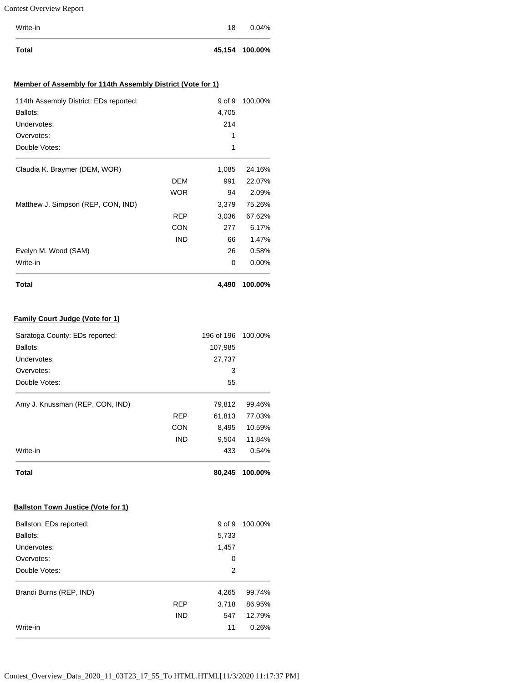| Total    |    | 45,154 100.00% |
|----------|----|----------------|
| Write-in | 18 | 0.04%          |

### **Member of Assembly for 114th Assembly District (Vote for 1)**

| Total                                  |            | 4,490  | 100.00%  |
|----------------------------------------|------------|--------|----------|
| Write-in                               |            | 0      | $0.00\%$ |
| Evelyn M. Wood (SAM)                   |            | 26     | 0.58%    |
|                                        | <b>IND</b> | 66     | 1.47%    |
|                                        | <b>CON</b> | 277    | 6.17%    |
|                                        | REP        | 3,036  | 67.62%   |
| Matthew J. Simpson (REP, CON, IND)     |            | 3,379  | 75.26%   |
|                                        | <b>WOR</b> | 94     | 2.09%    |
|                                        | DEM        | 991    | 22.07%   |
| Claudia K. Braymer (DEM, WOR)          |            | 1,085  | 24.16%   |
| Double Votes:                          |            | 1      |          |
| Overvotes:                             |            | 1      |          |
| Undervotes:                            |            | 214    |          |
| Ballots:                               |            | 4,705  |          |
| 114th Assembly District: EDs reported: |            | 9 of 9 | 100.00%  |

# **Family Court Judge (Vote for 1)**

| Saratoga County: EDs reported:            |            | 196 of 196 | 100.00% |
|-------------------------------------------|------------|------------|---------|
| Ballots:                                  |            | 107,985    |         |
| Undervotes:                               |            | 27,737     |         |
| Overvotes:                                |            | 3          |         |
| Double Votes:                             |            | 55         |         |
| Amy J. Knussman (REP, CON, IND)           |            | 79,812     | 99.46%  |
|                                           | <b>REP</b> | 61,813     | 77.03%  |
|                                           | <b>CON</b> | 8,495      | 10.59%  |
|                                           | <b>IND</b> | 9,504      | 11.84%  |
| Write-in                                  |            | 433        | 0.54%   |
| Total                                     |            | 80,245     | 100.00% |
| <b>Ballston Town Justice (Vote for 1)</b> |            |            |         |

| Ballston: EDs reported: |            | 9 of 9 | 100.00% |
|-------------------------|------------|--------|---------|
| Ballots:                |            | 5,733  |         |
| Undervotes:             |            | 1,457  |         |
| Overvotes:              |            | 0      |         |
| Double Votes:           |            | 2      |         |
| Brandi Burns (REP, IND) |            | 4,265  | 99.74%  |
|                         | <b>REP</b> | 3,718  | 86.95%  |
|                         | <b>IND</b> | 547    | 12.79%  |
| Write-in                |            | 11     | 0.26%   |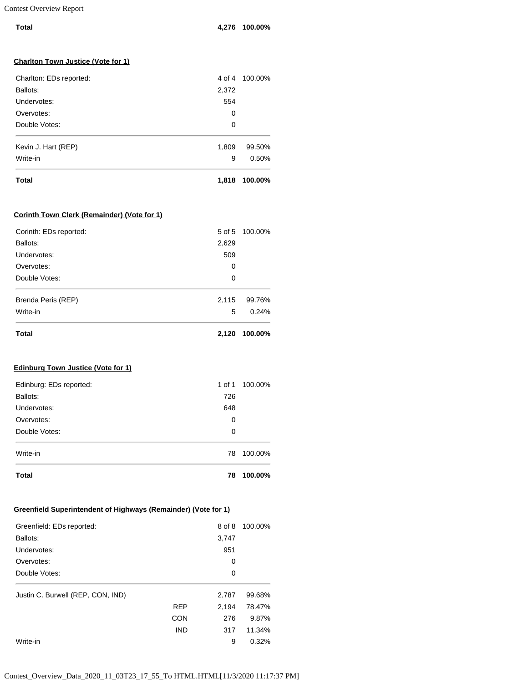| Total | 4,276 100.00% |
|-------|---------------|
|       |               |

#### **Charlton Town Justice (Vote for 1)**

| Overvotes:<br>Double Votes: | 0<br>0 |         |
|-----------------------------|--------|---------|
|                             |        |         |
| Kevin J. Hart (REP)         | 1,809  | 99.50%  |
| Write-in                    | 9      | 0.50%   |
| <b>Total</b>                | 1,818  | 100.00% |

#### **Corinth Town Clerk (Remainder) (Vote for 1)**

| Total                  | 2,120 | 100.00%        |
|------------------------|-------|----------------|
| Write-in               | 5     | 0.24%          |
| Brenda Peris (REP)     | 2,115 | 99.76%         |
| Double Votes:          | 0     |                |
| Overvotes:             | 0     |                |
| Undervotes:            | 509   |                |
| Ballots:               | 2,629 |                |
| Corinth: EDs reported: |       | 5 of 5 100,00% |

## **Edinburg Town Justice (Vote for 1)**

| <b>Total</b>            | 78     | 100.00% |
|-------------------------|--------|---------|
| Write-in                | 78     | 100.00% |
| Double Votes:           | 0      |         |
| Overvotes:              | 0      |         |
| Undervotes:             | 648    |         |
| Ballots:                | 726    |         |
| Edinburg: EDs reported: | 1 of 1 | 100.00% |

# **Greenfield Superintendent of Highways (Remainder) (Vote for 1)**

| Greenfield: EDs reported:         |            | 8 of 8 | 100.00% |
|-----------------------------------|------------|--------|---------|
| Ballots:                          |            | 3,747  |         |
| Undervotes:                       |            | 951    |         |
| Overvotes:                        |            | 0      |         |
| Double Votes:                     |            | 0      |         |
| Justin C. Burwell (REP, CON, IND) |            | 2,787  | 99.68%  |
|                                   | <b>REP</b> | 2.194  | 78.47%  |
|                                   | <b>CON</b> | 276    | 9.87%   |
|                                   | <b>IND</b> | 317    | 11.34%  |
| Write-in                          |            | 9      | 0.32%   |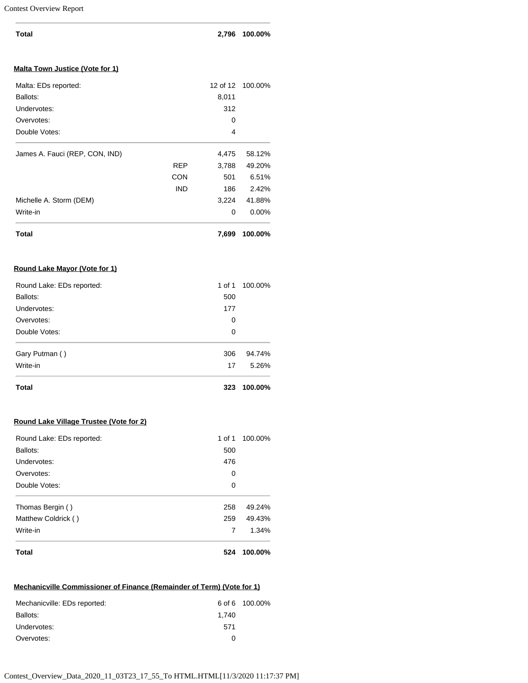| <b>Total</b>                            |            | 2,796    | 100.00%  |
|-----------------------------------------|------------|----------|----------|
| <b>Malta Town Justice (Vote for 1)</b>  |            |          |          |
| Malta: EDs reported:                    |            | 12 of 12 | 100.00%  |
| Ballots:                                |            | 8,011    |          |
| Undervotes:                             |            | 312      |          |
| Overvotes:                              |            | 0        |          |
| Double Votes:                           |            | 4        |          |
| James A. Fauci (REP, CON, IND)          |            | 4,475    | 58.12%   |
|                                         | REP        | 3,788    | 49.20%   |
|                                         | CON        | 501      | 6.51%    |
|                                         | <b>IND</b> | 186      | 2.42%    |
| Michelle A. Storm (DEM)                 |            | 3,224    | 41.88%   |
| Write-in                                |            | 0        | $0.00\%$ |
| <b>Total</b>                            |            | 7,699    | 100.00%  |
| Round Lake Mayor (Vote for 1)           |            |          |          |
| Round Lake: EDs reported:               |            | 1 of 1   | 100.00%  |
| Ballots:                                |            | 500      |          |
| Undervotes:                             |            | 177      |          |
| Overvotes:                              |            | 0        |          |
| Double Votes:                           |            | 0        |          |
| Gary Putman ()                          |            | 306      | 94.74%   |
| Write-in                                |            | 17       | 5.26%    |
| <b>Total</b>                            |            | 323      | 100.00%  |
| Round Lake Village Trustee (Vote for 2) |            |          |          |
| Round Lake: EDs reported:               |            | 1 of 1   | 100.00%  |

| <b>Total</b>              | 524     | 100.00% |
|---------------------------|---------|---------|
| Write-in                  | 7       | 1.34%   |
| Matthew Coldrick ()       | 259     | 49.43%  |
| Thomas Bergin ()          | 258     | 49.24%  |
| Double Votes:             | 0       |         |
| Overvotes:                | 0       |         |
| Undervotes:               | 476     |         |
| Ballots:                  | 500     |         |
| Round Lake: EDS reported: | 1 O T T | 100.00% |

# **Mechanicville Commissioner of Finance (Remainder of Term) (Vote for 1)**

| Mechanicville: EDs reported: | 6 of 6 100.00% |  |  |
|------------------------------|----------------|--|--|
| Ballots:                     | 1.740          |  |  |
| Undervotes:                  | 571            |  |  |
| Overvotes:                   | O              |  |  |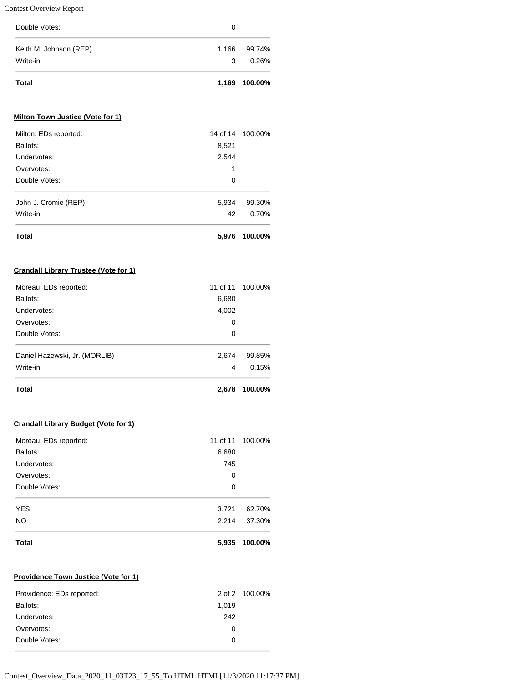| Total                  |       | 1,169 100.00% |
|------------------------|-------|---------------|
| Write-in               | 3     | 0.26%         |
| Keith M. Johnson (REP) | 1,166 | 99.74%        |
| Double Votes:          | 0     |               |

# **Milton Town Justice (Vote for 1)**

| Double Votes:        | 0     |        |
|----------------------|-------|--------|
| John J. Cromie (REP) | 5,934 | 99.30% |
| Write-in             | 42    | 0.70%  |
|                      |       |        |

# **Crandall Library Trustee (Vote for 1)**

| <b>Total</b>                  | 2.678    | 100.00% |
|-------------------------------|----------|---------|
| Write-in                      | 4        | 0.15%   |
| Daniel Hazewski, Jr. (MORLIB) | 2,674    | 99.85%  |
| Double Votes:                 | 0        |         |
| Overvotes:                    | 0        |         |
| Undervotes:                   | 4,002    |         |
| Ballots:                      | 6,680    |         |
| Moreau: EDs reported:         | 11 of 11 | 100.00% |

# **Crandall Library Budget (Vote for 1)**

| Moreau: EDs reported: |       | 11 of 11 100.00% |
|-----------------------|-------|------------------|
| Ballots:              | 6,680 |                  |
| Undervotes:           | 745   |                  |
| Overvotes:            | 0     |                  |
| Double Votes:         | 0     |                  |
| <b>YES</b>            | 3,721 | 62.70%           |
| NO.                   | 2,214 | 37.30%           |
| <b>Total</b>          | 5,935 | 100.00%          |

#### **Providence Town Justice (Vote for 1)**

| Providence: EDs reported: |          | 2 of 2 100,00% |
|---------------------------|----------|----------------|
| Ballots:                  | 1.019    |                |
| Undervotes:               | 242      |                |
| Overvotes:                | $\Omega$ |                |
| Double Votes:             | $^{(1)}$ |                |